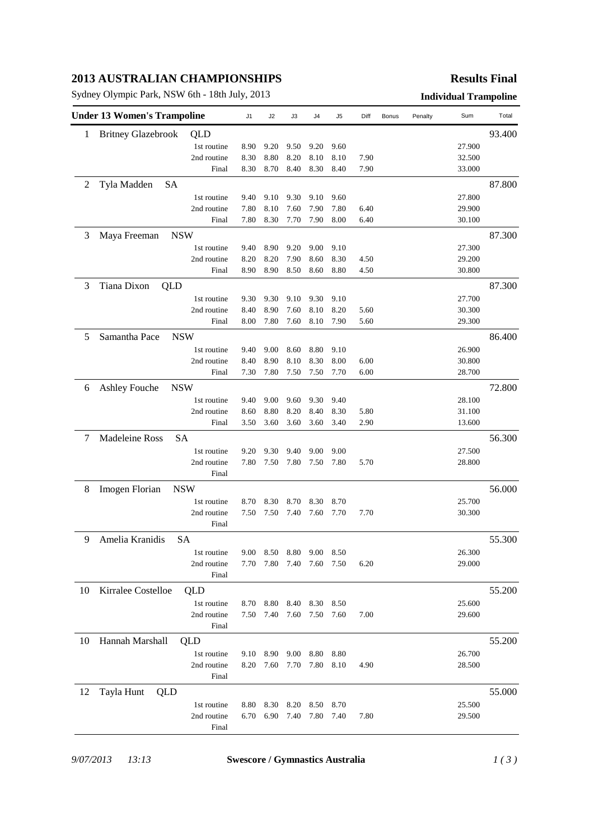# **2013 AUSTRALIAN CHAMPIONSHIPS**

Sydney Olympic Park, NSW 6th - 18th July, 2013 **Individual Trampoline**

## **Results Final**

|    | <b>Under 13 Women's Trampoline</b> |             |              |              | J3           | J4           | J5           | Diff         | Bonus | Penalty | Sum    | Total  |
|----|------------------------------------|-------------|--------------|--------------|--------------|--------------|--------------|--------------|-------|---------|--------|--------|
| 1  | <b>Britney Glazebrook</b>          | QLD         |              |              |              |              |              |              |       |         |        | 93.400 |
|    |                                    | 1st routine | 8.90         | 9.20         | 9.50         | 9.20         | 9.60         |              |       |         | 27.900 |        |
|    |                                    | 2nd routine | 8.30         | 8.80         | 8.20         | 8.10         | 8.10         | 7.90         |       |         | 32.500 |        |
|    |                                    | Final       | 8.30         | 8.70         | 8.40         | 8.30         | 8.40         | 7.90         |       |         | 33.000 |        |
| 2  | Tyla Madden<br><b>SA</b>           |             |              |              |              |              |              |              |       |         |        | 87.800 |
|    |                                    | 1st routine | 9.40         | 9.10         | 9.30         | 9.10         | 9.60         |              |       |         | 27.800 |        |
|    |                                    | 2nd routine | 7.80         | 8.10         | 7.60         | 7.90         | 7.80         | 6.40         |       |         | 29.900 |        |
|    |                                    | Final       | 7.80         | 8.30         | 7.70         | 7.90         | 8.00         | 6.40         |       |         | 30.100 |        |
| 3  | Maya Freeman                       | <b>NSW</b>  |              |              |              |              |              |              |       |         |        | 87.300 |
|    |                                    | 1st routine | 9.40         | 8.90         | 9.20         | 9.00         | 9.10         |              |       |         | 27.300 |        |
|    |                                    | 2nd routine | 8.20         | 8.20         | 7.90         | 8.60         | 8.30         | 4.50         |       |         | 29.200 |        |
|    |                                    | Final       | 8.90         | 8.90         | 8.50         | 8.60         | 8.80         | 4.50         |       |         | 30.800 |        |
| 3  | Tiana Dixon<br>QLD                 |             |              |              |              |              |              |              |       |         |        | 87.300 |
|    |                                    | 1st routine | 9.30         | 9.30         | 9.10         | 9.30         | 9.10         |              |       |         | 27.700 |        |
|    |                                    | 2nd routine | 8.40         | 8.90         | 7.60         | 8.10         | 8.20         | 5.60         |       |         | 30.300 |        |
|    |                                    | Final       | 8.00         | 7.80         | 7.60         | 8.10         | 7.90         | 5.60         |       |         | 29.300 |        |
| 5  | Samantha Pace                      | <b>NSW</b>  |              |              |              |              |              |              |       |         |        | 86.400 |
|    |                                    | 1st routine |              |              |              |              |              |              |       |         | 26.900 |        |
|    |                                    | 2nd routine | 9.40         | 9.00         | 8.60<br>8.10 | 8.80         | 9.10         |              |       |         | 30.800 |        |
|    |                                    | Final       | 8.40<br>7.30 | 8.90<br>7.80 | 7.50         | 8.30<br>7.50 | 8.00<br>7.70 | 6.00<br>6.00 |       |         | 28.700 |        |
|    |                                    |             |              |              |              |              |              |              |       |         |        |        |
| 6  | Ashley Fouche                      | <b>NSW</b>  |              |              |              |              |              |              |       |         |        | 72.800 |
|    |                                    | 1st routine | 9.40         | 9.00         | 9.60         | 9.30         | 9.40         |              |       |         | 28.100 |        |
|    |                                    | 2nd routine | 8.60         | 8.80         | 8.20         | 8.40         | 8.30         | 5.80         |       |         | 31.100 |        |
|    |                                    | Final       | 3.50         | 3.60         | 3.60         | 3.60         | 3.40         | 2.90         |       |         | 13.600 |        |
| 7  | Madeleine Ross                     | <b>SA</b>   |              |              |              |              |              |              |       |         |        | 56.300 |
|    |                                    | 1st routine | 9.20         | 9.30         | 9.40         | 9.00         | 9.00         |              |       |         | 27.500 |        |
|    |                                    | 2nd routine | 7.80         | 7.50         | 7.80         | 7.50         | 7.80         | 5.70         |       |         | 28.800 |        |
|    |                                    | Final       |              |              |              |              |              |              |       |         |        |        |
| 8  | Imogen Florian                     | <b>NSW</b>  |              |              |              |              |              |              |       |         |        | 56.000 |
|    |                                    | 1st routine | 8.70         | 8.30         | 8.70         | 8.30         | 8.70         |              |       |         | 25.700 |        |
|    |                                    | 2nd routine | 7.50         | 7.50         | 7.40         | 7.60         | 7.70         | 7.70         |       |         | 30.300 |        |
|    |                                    | Final       |              |              |              |              |              |              |       |         |        |        |
| 9  | Amelia Kranidis<br><b>SA</b>       |             |              |              |              |              |              |              |       |         | 55.300 |        |
|    |                                    | 1st routine | 9.00         | 8.50         | 8.80         | 9.00         | 8.50         |              |       |         | 26.300 |        |
|    |                                    | 2nd routine | 7.70         | 7.80         | 7.40         | 7.60         | 7.50         | 6.20         |       |         | 29.000 |        |
|    |                                    | Final       |              |              |              |              |              |              |       |         |        |        |
| 10 | Kirralee Costelloe                 | QLD         |              |              |              |              |              |              |       |         |        | 55.200 |
|    |                                    | 1st routine | 8.70         | 8.80         | 8.40         | 8.30         | 8.50         |              |       |         | 25.600 |        |
|    |                                    | 2nd routine | 7.50         | 7.40         | 7.60         | 7.50         | 7.60         | 7.00         |       |         | 29.600 |        |
|    |                                    | Final       |              |              |              |              |              |              |       |         |        |        |
| 10 | Hannah Marshall                    | QLD         |              |              |              |              |              |              |       |         |        | 55.200 |
|    |                                    | 1st routine | 9.10         | 8.90         | 9.00         | 8.80         | 8.80         |              |       |         | 26.700 |        |
|    |                                    | 2nd routine | 8.20         | 7.60         | 7.70         | 7.80         | 8.10         | 4.90         |       |         | 28.500 |        |
|    |                                    | Final       |              |              |              |              |              |              |       |         |        |        |
| 12 | Tayla Hunt<br>QLD                  |             |              |              |              |              |              |              |       |         | 55.000 |        |
|    |                                    | 1st routine | 8.80         | 8.30         | 8.20         | 8.50         | 8.70         |              |       |         | 25.500 |        |
|    |                                    | 2nd routine | 6.70         | 6.90         | 7.40         | 7.80         | 7.40         | 7.80         |       |         | 29.500 |        |
|    |                                    | Final       |              |              |              |              |              |              |       |         |        |        |
|    |                                    |             |              |              |              |              |              |              |       |         |        |        |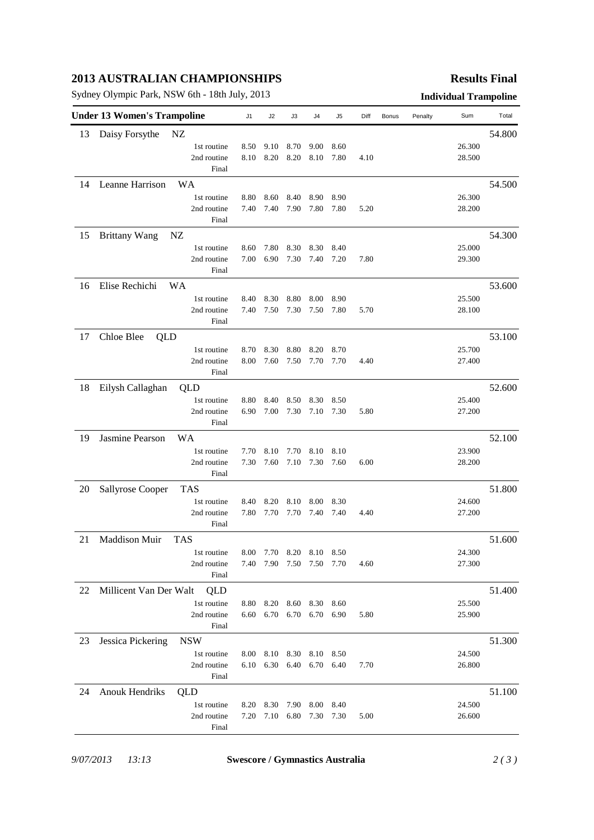# **2013 AUSTRALIAN CHAMPIONSHIPS**

Sydney Olympic Park, NSW 6th - 18th July, 2013 **Individual Trampoline**

## **Results Final**

|    | <b>Under 13 Women's Trampoline</b> | J1          | J2   | J3   | J4                       | J5   | Diff      | <b>Bonus</b> | Penalty | Sum | Total  |        |
|----|------------------------------------|-------------|------|------|--------------------------|------|-----------|--------------|---------|-----|--------|--------|
| 13 | Daisy Forsythe                     | NZ          |      |      |                          |      |           |              |         |     |        | 54.800 |
|    |                                    | 1st routine | 8.50 | 9.10 | 8.70                     | 9.00 | 8.60      |              |         |     | 26.300 |        |
|    |                                    | 2nd routine | 8.10 | 8.20 | 8.20                     | 8.10 | 7.80      | 4.10         |         |     | 28.500 |        |
|    |                                    | Final       |      |      |                          |      |           |              |         |     |        |        |
| 14 | Leanne Harrison                    | <b>WA</b>   |      |      |                          |      |           |              |         |     |        | 54.500 |
|    |                                    | 1st routine | 8.80 | 8.60 | 8.40                     | 8.90 | 8.90      |              |         |     | 26.300 |        |
|    |                                    | 2nd routine | 7.40 | 7.40 | 7.90                     | 7.80 | 7.80      | 5.20         |         |     | 28.200 |        |
|    |                                    | Final       |      |      |                          |      |           |              |         |     |        |        |
| 15 | <b>Brittany Wang</b>               | NZ          |      |      |                          |      |           |              |         |     |        | 54.300 |
|    |                                    | 1st routine | 8.60 | 7.80 | 8.30                     | 8.30 | 8.40      |              |         |     | 25.000 |        |
|    |                                    | 2nd routine | 7.00 | 6.90 | 7.30                     | 7.40 | 7.20      | 7.80         |         |     | 29.300 |        |
|    |                                    | Final       |      |      |                          |      |           |              |         |     |        |        |
| 16 | Elise Rechichi                     | WA          |      |      |                          |      |           |              |         |     |        | 53.600 |
|    |                                    | 1st routine | 8.40 | 8.30 | 8.80                     | 8.00 | 8.90      |              |         |     | 25.500 |        |
|    |                                    | 2nd routine | 7.40 | 7.50 | 7.30                     | 7.50 | 7.80      | 5.70         |         |     | 28.100 |        |
|    |                                    | Final       |      |      |                          |      |           |              |         |     |        |        |
| 17 | Chloe Blee<br>QLD                  |             |      |      |                          |      |           |              |         |     |        | 53.100 |
|    |                                    | 1st routine | 8.70 | 8.30 | 8.80                     | 8.20 | 8.70      |              |         |     | 25.700 |        |
|    |                                    | 2nd routine | 8.00 | 7.60 | 7.50                     | 7.70 | 7.70      | 4.40         |         |     | 27.400 |        |
|    |                                    | Final       |      |      |                          |      |           |              |         |     |        |        |
| 18 | Eilysh Callaghan                   | QLD         |      |      |                          |      |           |              |         |     |        | 52.600 |
|    |                                    | 1st routine | 8.80 | 8.40 | 8.50                     | 8.30 | 8.50      |              |         |     | 25.400 |        |
|    |                                    | 2nd routine | 6.90 | 7.00 | 7.30                     | 7.10 | 7.30      | 5.80         |         |     | 27.200 |        |
|    |                                    | Final       |      |      |                          |      |           |              |         |     |        |        |
| 19 | Jasmine Pearson                    | WA          |      |      |                          |      |           |              |         |     |        | 52.100 |
|    |                                    | 1st routine | 7.70 | 8.10 | 7.70                     | 8.10 | 8.10      |              |         |     | 23.900 |        |
|    |                                    | 2nd routine | 7.30 | 7.60 | 7.10                     | 7.30 | 7.60      | 6.00         |         |     | 28.200 |        |
|    |                                    | Final       |      |      |                          |      |           |              |         |     |        |        |
| 20 | Sallyrose Cooper                   | <b>TAS</b>  |      |      |                          |      |           |              |         |     |        | 51.800 |
|    |                                    | 1st routine | 8.40 | 8.20 | 8.10                     | 8.00 | 8.30      |              |         |     | 24.600 |        |
|    |                                    | 2nd routine | 7.80 | 7.70 | 7.70                     | 7.40 | 7.40      | 4.40         |         |     | 27.200 |        |
|    |                                    | Final       |      |      |                          |      |           |              |         |     |        |        |
| 21 | Maddison Muir                      | <b>TAS</b>  |      |      |                          |      |           |              |         |     |        | 51.600 |
|    |                                    | 1st routine |      |      | 8.00 7.70 8.20 8.10 8.50 |      |           |              |         |     | 24.300 |        |
|    |                                    | 2nd routine |      |      | 7.40 7.90 7.50 7.50 7.70 |      |           | 4.60         |         |     | 27.300 |        |
|    |                                    | Final       |      |      |                          |      |           |              |         |     |        |        |
| 22 | Millicent Van Der Walt             | QLD         |      |      |                          |      |           |              |         |     |        | 51.400 |
|    |                                    | 1st routine | 8.80 | 8.20 | 8.60                     | 8.30 | 8.60      |              |         |     | 25.500 |        |
|    |                                    | 2nd routine | 6.60 | 6.70 | 6.70                     | 6.70 | 6.90      | 5.80         |         |     | 25.900 |        |
|    |                                    | Final       |      |      |                          |      |           |              |         |     |        |        |
| 23 | Jessica Pickering                  | <b>NSW</b>  |      |      |                          |      |           |              |         |     |        | 51.300 |
|    |                                    | 1st routine | 8.00 | 8.10 | 8.30                     | 8.10 | 8.50      |              |         |     | 24.500 |        |
|    |                                    | 2nd routine | 6.10 | 6.30 | 6.40                     |      | 6.70 6.40 | 7.70         |         |     | 26.800 |        |
|    |                                    | Final       |      |      |                          |      |           |              |         |     |        |        |
| 24 | <b>Anouk Hendriks</b>              | QLD         |      |      |                          |      |           |              |         |     |        | 51.100 |
|    |                                    | 1st routine | 8.20 | 8.30 | 7.90                     | 8.00 | 8.40      |              |         |     | 24.500 |        |
|    |                                    | 2nd routine | 7.20 |      | 7.10 6.80                | 7.30 | 7.30      | 5.00         |         |     | 26.600 |        |
|    |                                    | Final       |      |      |                          |      |           |              |         |     |        |        |
|    |                                    |             |      |      |                          |      |           |              |         |     |        |        |